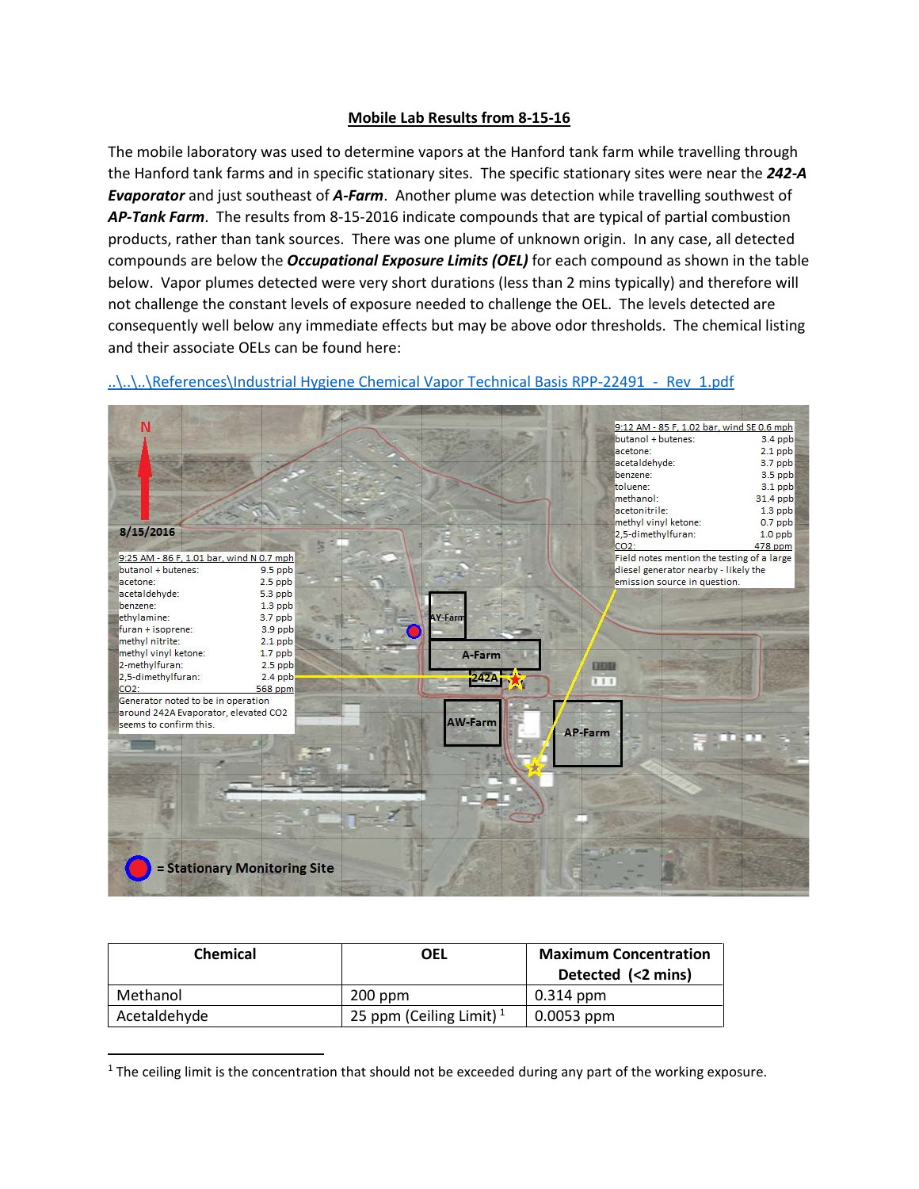## **Mobile Lab Results from 8-15-16**

The mobile laboratory was used to determine vapors at the Hanford tank farm while travelling through the Hanford tank farms and in specific stationary sites. The specific stationary sites were near the *242-A Evaporator* and just southeast of *A-Farm*. Another plume was detection while travelling southwest of *AP-Tank Farm*. The results from 8-15-2016 indicate compounds that are typical of partial combustion products, rather than tank sources. There was one plume of unknown origin. In any case, all detected compounds are below the *Occupational Exposure Limits (OEL)* for each compound as shown in the table below. Vapor plumes detected were very short durations (less than 2 mins typically) and therefore will not challenge the constant levels of exposure needed to challenge the OEL. The levels detected are consequently well below any immediate effects but may be above odor thresholds. The chemical listing and their associate OELs can be found here:



..\.\.\References\Industrial Hygiene Chemical Vapor Technical Basis RPP-22491 - Rev\_1.pdf

| <b>Chemical</b> | OEL                        | <b>Maximum Concentration</b><br>Detected (<2 mins) |
|-----------------|----------------------------|----------------------------------------------------|
| Methanol        | $200$ ppm                  | 0.314 ppm                                          |
| Acetaldehyde    | 25 ppm (Ceiling Limit) $1$ | $\vert$ 0.0053 ppm                                 |

<span id="page-0-0"></span> $1$  The ceiling limit is the concentration that should not be exceeded during any part of the working exposure.